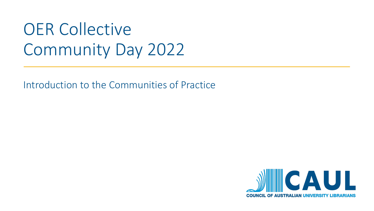# OER Collective Community Day 2022

Introduction to the Communities of Practice

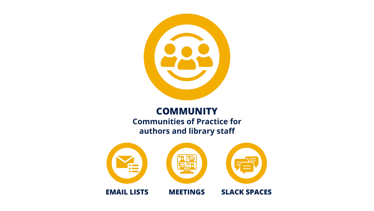

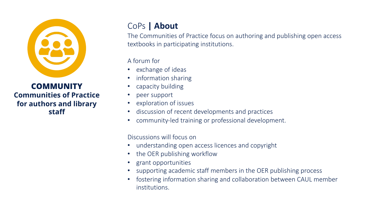

# CoPs **| About**

The Communities of Practice focus on authoring and publishing open access textbooks in participating institutions.

A forum for

- exchange of ideas
- information sharing
- capacity building
- peer support
- exploration of issues
- discussion of recent developments and practices
- community-led training or professional development.

Discussions will focus on

- understanding open access licences and copyright
- the OER publishing workflow
- grant opportunities
- supporting academic staff members in the OER publishing process
- fostering information sharing and collaboration between CAUL member institutions.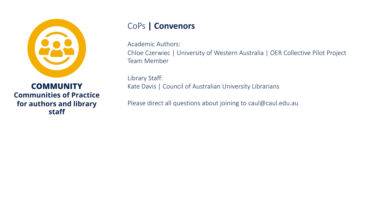

### CoPs **| Convenors**

Academic Authors:

Chloe Czerwiec | University of Western Australia | OER Collective Pilot Project Team Member

Library Staff: Kate Davis | Council of Australian University Librarians

Please direct all questions about joining to caul@caul.edu.au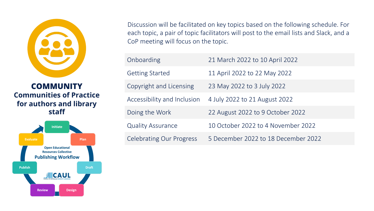



Discussion will be facilitated on key topics based on the following schedule. For each topic, a pair of topic facilitators will post to the email lists and Slack, and a CoP meeting will focus on the topic.

| Onboarding                                                             | 21 March 2022 to 10 April 2022     |  |
|------------------------------------------------------------------------|------------------------------------|--|
| <b>Getting Started</b>                                                 | 11 April 2022 to 22 May 2022       |  |
| Copyright and Licensing                                                | 23 May 2022 to 3 July 2022         |  |
| Accessibility and Inclusion                                            | 4 July 2022 to 21 August 2022      |  |
| Doing the Work                                                         | 22 August 2022 to 9 October 2022   |  |
| <b>Quality Assurance</b>                                               | 10 October 2022 to 4 November 2022 |  |
| <b>Celebrating Our Progress</b><br>5 December 2022 to 18 December 2022 |                                    |  |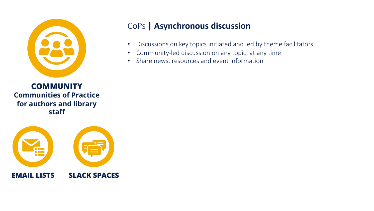



# CoPs **| Asynchronous discussion**

- Discussions on key topics initiated and led by theme facilitators
- Community-led discussion on any topic, at any time
- Share news, resources and event information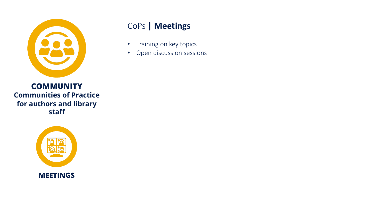

# CoPs **| Meetings**

- Training on key topics
- Open discussion sessions

**COMMUNITY Communities of Practice for authors and library staff**

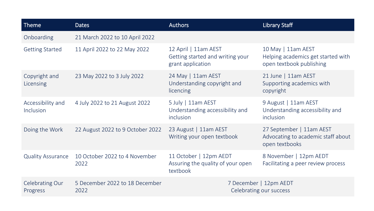| Theme                             | <b>Dates</b>                           | <b>Authors</b>                                                                | <b>Library Staff</b>                                                                 |
|-----------------------------------|----------------------------------------|-------------------------------------------------------------------------------|--------------------------------------------------------------------------------------|
| Onboarding                        | 21 March 2022 to 10 April 2022         |                                                                               |                                                                                      |
| <b>Getting Started</b>            | 11 April 2022 to 22 May 2022           | 12 April   11am AEST<br>Getting started and writing your<br>grant application | 10 May   11am AEST<br>Helping academics get started with<br>open textbook publishing |
| Copyright and<br><b>Licensing</b> | 23 May 2022 to 3 July 2022             | 24 May   11am AEST<br>Understanding copyright and<br>licencing                | 21 June   11am AEST<br>Supporting academics with<br>copyright                        |
| Accessibility and<br>Inclusion    | 4 July 2022 to 21 August 2022          | 5 July   11am AEST<br>Understanding accessibility and<br>inclusion            | 9 August   11am AEST<br>Understanding accessibility and<br>inclusion                 |
| Doing the Work                    | 22 August 2022 to 9 October 2022       | 23 August   11am AEST<br>Writing your open textbook                           | 27 September   11am AEST<br>Advocating to academic staff about<br>open textbooks     |
| <b>Quality Assurance</b>          | 10 October 2022 to 4 November<br>2022  | 11 October   12pm AEDT<br>Assuring the quality of your open<br>textbook       | 8 November   12pm AEDT<br>Facilitating a peer review process                         |
| Celebrating Our<br>Progress       | 5 December 2022 to 18 December<br>2022 | 7 December   12pm AEDT<br>Celebrating our success                             |                                                                                      |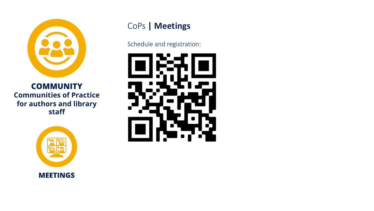

**COMMUNITY Communities of Practice for authors and library staff**



### CoPs **| Meetings**

Schedule and registration: